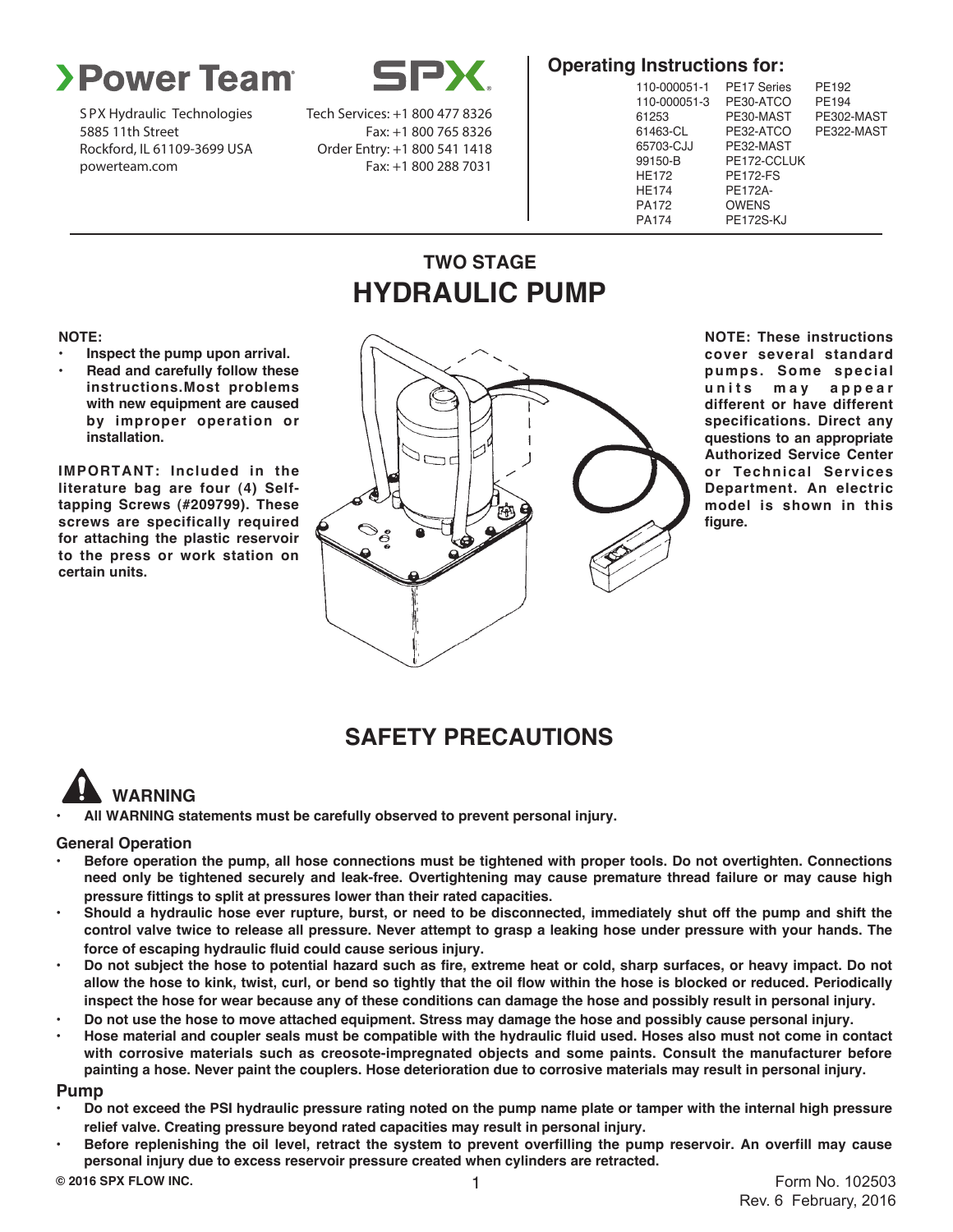

S PX Hydraulic Technologies 5885 11th Street Rockford, IL 61109-3699 USA powerteam.com

**EX** 

Tech Services: +1 800 477 8326 Fax: +1 800 765 8326 Order Entry: +1 800 541 1418 Fax: +1 800 288 7031

## **Operating Instructions for:**

| 110-000051-1 | <b>PE17 Series</b> | PE192      |
|--------------|--------------------|------------|
| 110-000051-3 | PE30-ATCO          | PE194      |
| 61253        | PE30-MAST          | PE302-MAST |
| 61463-CL     | PE32-ATCO          | PE322-MAST |
| 65703-CJJ    | PE32-MAST          |            |
| 99150-B      | PE172-CCLUK        |            |
| <b>HE172</b> | <b>PE172-FS</b>    |            |
| <b>HE174</b> | PE172A-            |            |
| PA172        | <b>OWENS</b>       |            |
| PA174        | <b>PE172S-KJ</b>   |            |
|              |                    |            |

## **TWO STAGE HYDRAULIC PUMP**

#### **NOTE:**

- **• Inspect the pump upon arrival.**
- **• Read and carefully follow these instructions.Most problems with new equipment are caused by improper operation or installation.**

**IMPORTANT: Included in the literature bag are four (4) Selftapping Screws (#209799). These screws are specifically required for attaching the plastic reservoir to the press or work station on certain units.**



**NOTE: These instructions cover several standard pumps. Some special u n i t s m a y a p p e a r different or have different specifications. Direct any questions to an appropriate Authorized Service Center or Technical Services Department. An electric model is shown in this figure.**

## **SAFETY PRECAUTIONS**

# **WARNING**

**• All WARNING statements must be carefully observed to prevent personal injury.**

### **General Operation**

- **• Before operation the pump, all hose connections must be tightened with proper tools. Do not overtighten. Connections need only be tightened securely and leak-free. Overtightening may cause premature thread failure or may cause high pressure fittings to split at pressures lower than their rated capacities.**
- **• Should a hydraulic hose ever rupture, burst, or need to be disconnected, immediately shut off the pump and shift the control valve twice to release all pressure. Never attempt to grasp a leaking hose under pressure with your hands. The force of escaping hydraulic fluid could cause serious injury.**
- **• Do not subject the hose to potential hazard such as fire, extreme heat or cold, sharp surfaces, or heavy impact. Do not allow the hose to kink, twist, curl, or bend so tightly that the oil flow within the hose is blocked or reduced. Periodically inspect the hose for wear because any of these conditions can damage the hose and possibly result in personal injury.**
- **• Do not use the hose to move attached equipment. Stress may damage the hose and possibly cause personal injury.**
- **• Hose material and coupler seals must be compatible with the hydraulic fluid used. Hoses also must not come in contact with corrosive materials such as creosote-impregnated objects and some paints. Consult the manufacturer before painting a hose. Never paint the couplers. Hose deterioration due to corrosive materials may result in personal injury.**

#### **Pump**

- **• Do not exceed the PSI hydraulic pressure rating noted on the pump name plate or tamper with the internal high pressure relief valve. Creating pressure beyond rated capacities may result in personal injury.**
- **• Before replenishing the oil level, retract the system to prevent overfilling the pump reservoir. An overfill may cause personal injury due to excess reservoir pressure created when cylinders are retracted.**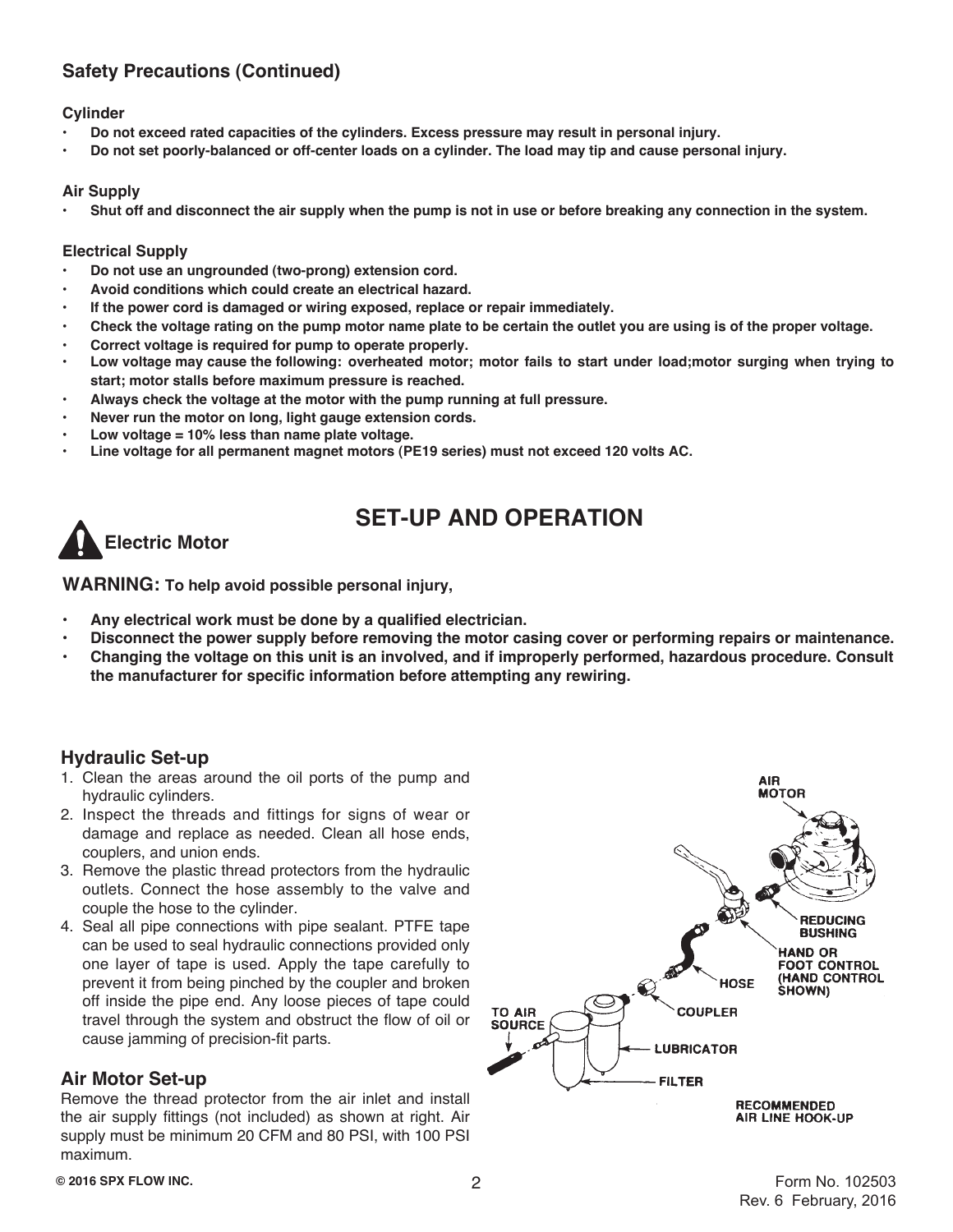## **Safety Precautions (Continued)**

### **Cylinder**

- **• Do not exceed rated capacities of the cylinders. Excess pressure may result in personal injury.**
- **• Do not set poorly-balanced or off-center loads on a cylinder. The load may tip and cause personal injury.**

### **Air Supply**

**• Shut off and disconnect the air supply when the pump is not in use or before breaking any connection in the system.**

### **Electrical Supply**

- **• Do not use an ungrounded (two-prong) extension cord.**
- **• Avoid conditions which could create an electrical hazard.**
- **• If the power cord is damaged or wiring exposed, replace or repair immediately.**
- **• Check the voltage rating on the pump motor name plate to be certain the outlet you are using is of the proper voltage.**
- **• Correct voltage is required for pump to operate properly.**
- **• Low voltage may cause the following: overheated motor; motor fails to start under load;motor surging when trying to start; motor stalls before maximum pressure is reached.**
- **• Always check the voltage at the motor with the pump running at full pressure.**
- **• Never run the motor on long, light gauge extension cords.**
- **• Low voltage = 10% less than name plate voltage.**
- **• Line voltage for all permanent magnet motors (PE19 series) must not exceed 120 volts AC.**



## **SET-UP AND OPERATION**

**WARNING: To help avoid possible personal injury,**

- **• Any electrical work must be done by a qualified electrician.**
- **• Disconnect the power supply before removing the motor casing cover or performing repairs or maintenance.**
- **• Changing the voltage on this unit is an involved, and if improperly performed, hazardous procedure. Consult the manufacturer for specific information before attempting any rewiring.**

## **Hydraulic Set-up**

- 1. Clean the areas around the oil ports of the pump and hydraulic cylinders.
- 2. Inspect the threads and fittings for signs of wear or damage and replace as needed. Clean all hose ends, couplers, and union ends.
- 3. Remove the plastic thread protectors from the hydraulic outlets. Connect the hose assembly to the valve and couple the hose to the cylinder.
- 4. Seal all pipe connections with pipe sealant. PTFE tape can be used to seal hydraulic connections provided only one layer of tape is used. Apply the tape carefully to prevent it from being pinched by the coupler and broken off inside the pipe end. Any loose pieces of tape could travel through the system and obstruct the flow of oil or cause jamming of precision-fit parts.

## **Air Motor Set-up**

Remove the thread protector from the air inlet and install the air supply fittings (not included) as shown at right. Air supply must be minimum 20 CFM and 80 PSI, with 100 PSI maximum.

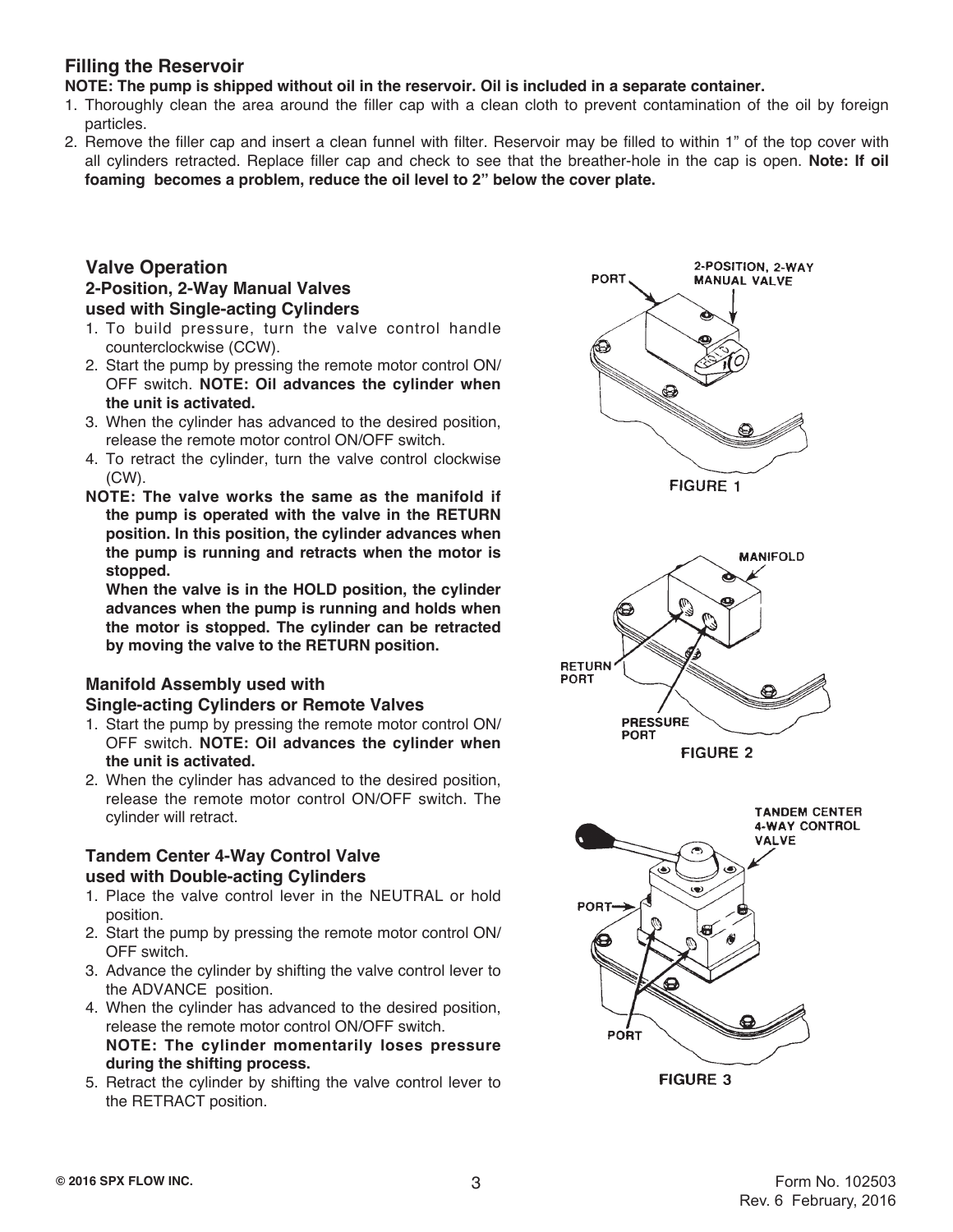### **Filling the Reservoir**

**NOTE: The pump is shipped without oil in the reservoir. Oil is included in a separate container.**

- 1. Thoroughly clean the area around the filler cap with a clean cloth to prevent contamination of the oil by foreign particles.
- 2. Remove the filler cap and insert a clean funnel with filter. Reservoir may be filled to within 1" of the top cover with all cylinders retracted. Replace filler cap and check to see that the breather-hole in the cap is open. **Note: If oil foaming becomes a problem, reduce the oil level to 2" below the cover plate.**

### **Valve Operation 2-Position, 2-Way Manual Valves used with Single-acting Cylinders**

- 1. To build pressure, turn the valve control handle counterclockwise (CCW).
- 2. Start the pump by pressing the remote motor control ON/ OFF switch. **NOTE: Oil advances the cylinder when the unit is activated.**
- 3. When the cylinder has advanced to the desired position, release the remote motor control ON/OFF switch.
- 4. To retract the cylinder, turn the valve control clockwise (CW).
- **NOTE: The valve works the same as the manifold if the pump is operated with the valve in the RETURN position. In this position, the cylinder advances when the pump is running and retracts when the motor is stopped.**

**When the valve is in the HOLD position, the cylinder advances when the pump is running and holds when the motor is stopped. The cylinder can be retracted by moving the valve to the RETURN position.**

## **Manifold Assembly used with**

### **Single-acting Cylinders or Remote Valves**

- 1. Start the pump by pressing the remote motor control ON/ OFF switch. **NOTE: Oil advances the cylinder when the unit is activated.**
- 2. When the cylinder has advanced to the desired position, release the remote motor control ON/OFF switch. The cylinder will retract.

### **Tandem Center 4-Way Control Valve used with Double-acting Cylinders**

- 1. Place the valve control lever in the NEUTRAL or hold position.
- 2. Start the pump by pressing the remote motor control ON/ OFF switch.
- 3. Advance the cylinder by shifting the valve control lever to the ADVANCE position.
- 4. When the cylinder has advanced to the desired position, release the remote motor control ON/OFF switch. **NOTE: The cylinder momentarily loses pressure during the shifting process.**
- 5. Retract the cylinder by shifting the valve control lever to the RETRACT position.

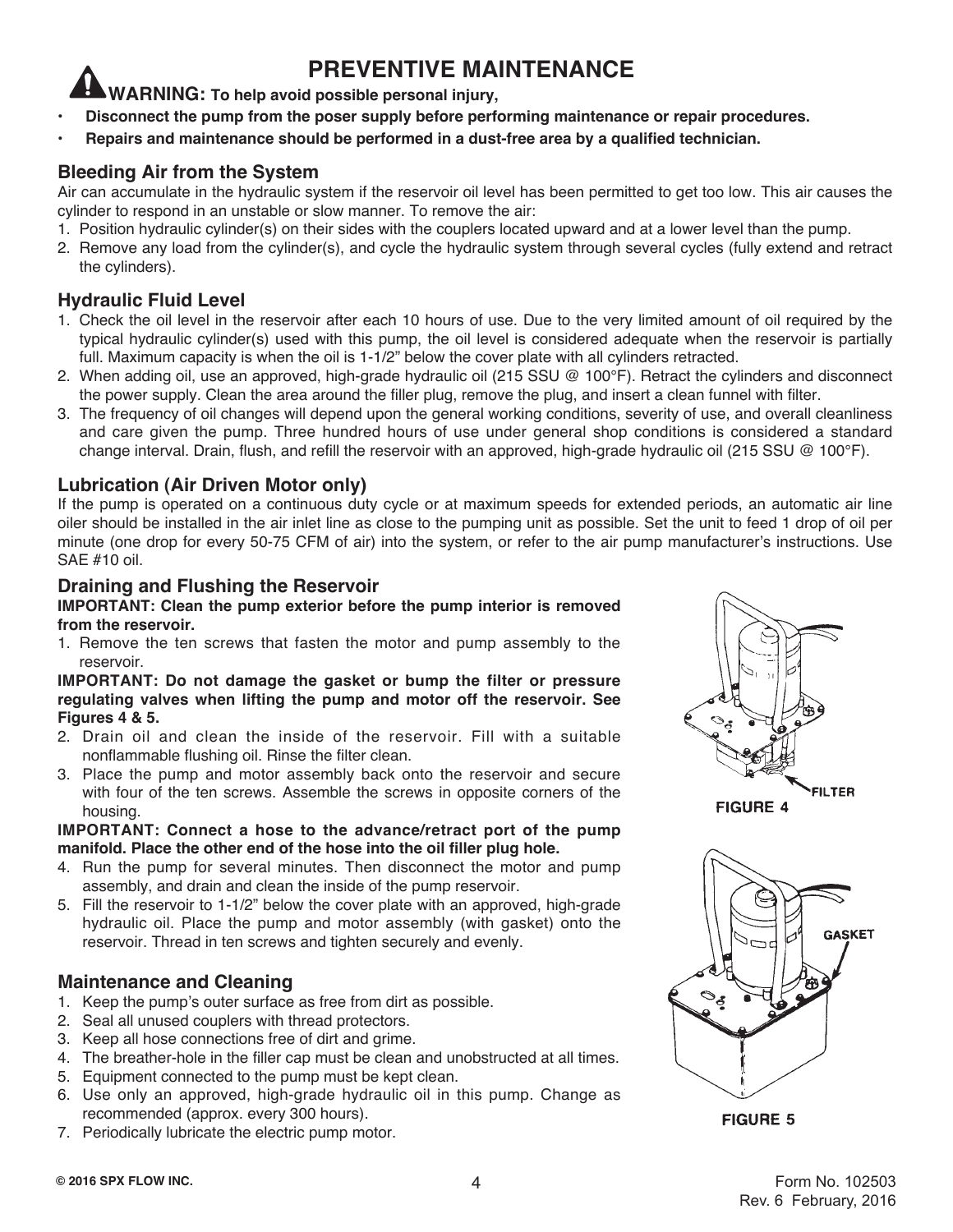## **PREVENTIVE MAINTENANCE**

**WARNING: To help avoid possible personal injury,**

- **• Disconnect the pump from the poser supply before performing maintenance or repair procedures.**
- **• Repairs and maintenance should be performed in a dust-free area by a qualified technician.**

## **Bleeding Air from the System**

Air can accumulate in the hydraulic system if the reservoir oil level has been permitted to get too low. This air causes the cylinder to respond in an unstable or slow manner. To remove the air:

- 1. Position hydraulic cylinder(s) on their sides with the couplers located upward and at a lower level than the pump.
- 2. Remove any load from the cylinder(s), and cycle the hydraulic system through several cycles (fully extend and retract the cylinders).

## **Hydraulic Fluid Level**

- 1. Check the oil level in the reservoir after each 10 hours of use. Due to the very limited amount of oil required by the typical hydraulic cylinder(s) used with this pump, the oil level is considered adequate when the reservoir is partially full. Maximum capacity is when the oil is 1-1/2" below the cover plate with all cylinders retracted.
- 2. When adding oil, use an approved, high-grade hydraulic oil (215 SSU @ 100°F). Retract the cylinders and disconnect the power supply. Clean the area around the filler plug, remove the plug, and insert a clean funnel with filter.
- 3. The frequency of oil changes will depend upon the general working conditions, severity of use, and overall cleanliness and care given the pump. Three hundred hours of use under general shop conditions is considered a standard change interval. Drain, flush, and refill the reservoir with an approved, high-grade hydraulic oil (215 SSU  $\textcircled{a}$  100°F).

## **Lubrication (Air Driven Motor only)**

If the pump is operated on a continuous duty cycle or at maximum speeds for extended periods, an automatic air line oiler should be installed in the air inlet line as close to the pumping unit as possible. Set the unit to feed 1 drop of oil per minute (one drop for every 50-75 CFM of air) into the system, or refer to the air pump manufacturer's instructions. Use SAE #10 oil.

### **Draining and Flushing the Reservoir**

### **IMPORTANT: Clean the pump exterior before the pump interior is removed from the reservoir.**

1. Remove the ten screws that fasten the motor and pump assembly to the reservoir.

#### **IMPORTANT: Do not damage the gasket or bump the filter or pressure regulating valves when lifting the pump and motor off the reservoir. See Figures 4 & 5.**

- 2. Drain oil and clean the inside of the reservoir. Fill with a suitable nonflammable flushing oil. Rinse the filter clean.
- 3. Place the pump and motor assembly back onto the reservoir and secure with four of the ten screws. Assemble the screws in opposite corners of the housing.

### **IMPORTANT: Connect a hose to the advance/retract port of the pump manifold. Place the other end of the hose into the oil filler plug hole.**

- 4. Run the pump for several minutes. Then disconnect the motor and pump assembly, and drain and clean the inside of the pump reservoir.
- 5. Fill the reservoir to 1-1/2" below the cover plate with an approved, high-grade hydraulic oil. Place the pump and motor assembly (with gasket) onto the reservoir. Thread in ten screws and tighten securely and evenly.

## **Maintenance and Cleaning**

- 1. Keep the pump's outer surface as free from dirt as possible.
- 2. Seal all unused couplers with thread protectors.
- 3. Keep all hose connections free of dirt and grime.
- 4. The breather-hole in the filler cap must be clean and unobstructed at all times.
- 5. Equipment connected to the pump must be kept clean.
- 6. Use only an approved, high-grade hydraulic oil in this pump. Change as recommended (approx. every 300 hours).
- 7. Periodically lubricate the electric pump motor.





**FIGURE 5**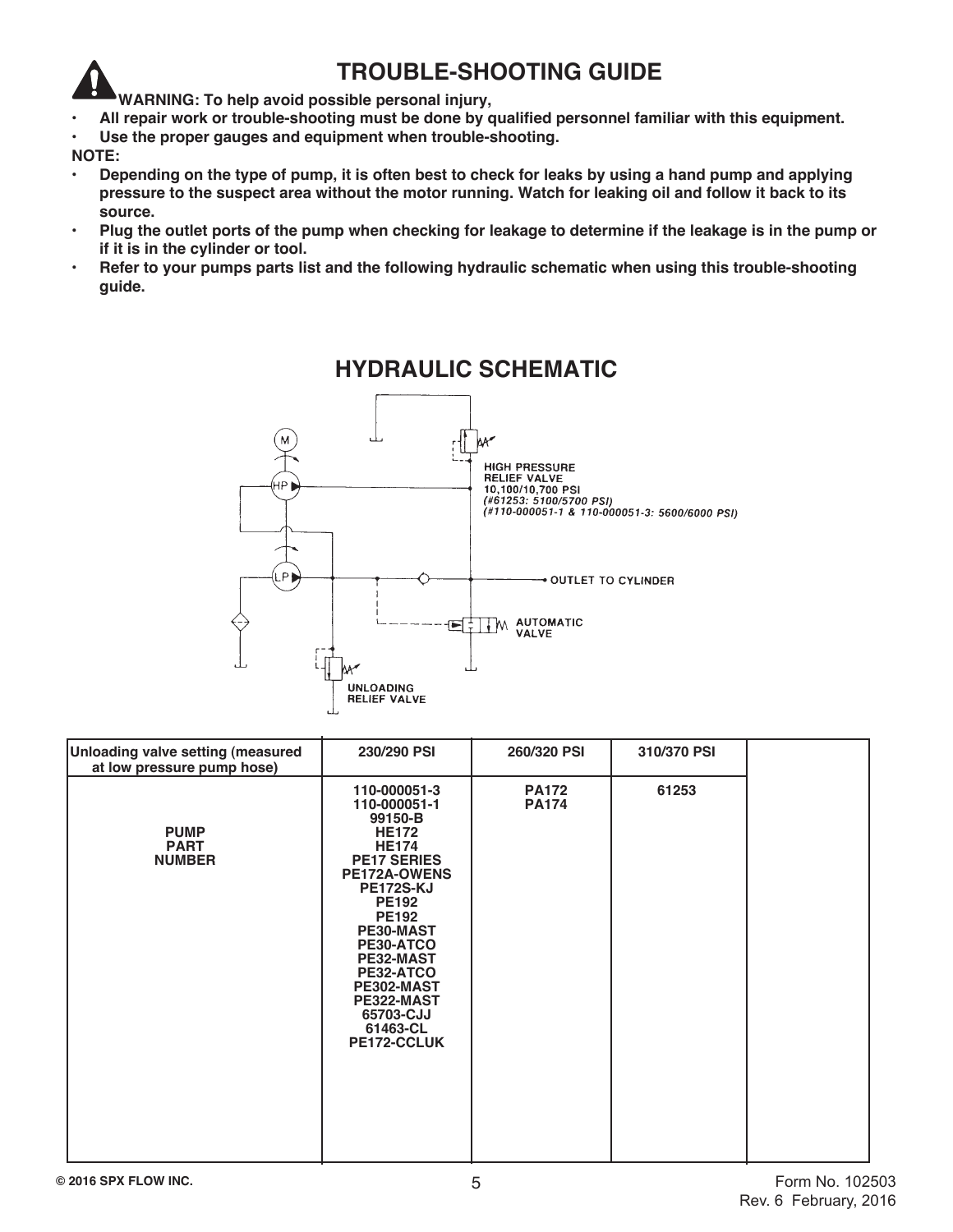## **TROUBLE-SHOOTING GUIDE**

- **WARNING: To help avoid possible personal injury,**
- **• All repair work or trouble-shooting must be done by qualified personnel familiar with this equipment.**
- **• Use the proper gauges and equipment when trouble-shooting.**

#### **NOTE:**

- **• Depending on the type of pump, it is often best to check for leaks by using a hand pump and applying pressure to the suspect area without the motor running. Watch for leaking oil and follow it back to its source.**
- **• Plug the outlet ports of the pump when checking for leakage to determine if the leakage is in the pump or if it is in the cylinder or tool.**
- **• Refer to your pumps parts list and the following hydraulic schematic when using this trouble-shooting guide.**



## **HYDRAULIC SCHEMATIC**

| Unloading valve setting (measured<br>at low pressure pump hose) | 230/290 PSI                                                                                                                                                                                                                                                                                             | 260/320 PSI                  | 310/370 PSI |  |
|-----------------------------------------------------------------|---------------------------------------------------------------------------------------------------------------------------------------------------------------------------------------------------------------------------------------------------------------------------------------------------------|------------------------------|-------------|--|
| <b>PUMP</b><br><b>PART</b><br><b>NUMBER</b>                     | 110-000051-3<br>110-000051-1<br>99150-B<br><b>HE172</b><br><b>HE174</b><br><b>PE17 SERIES</b><br><b>PE172A-OWENS</b><br><b>PE172S-KJ</b><br><b>PE192</b><br><b>PE192</b><br>PE30-MAST<br>PE30-ATCO<br>PE32-MAST<br>PE32-ATCO<br>PE302-MAST<br>PE322-MAST<br>65703-CJJ<br>61463-CL<br><b>PE172-CCLUK</b> | <b>PA172</b><br><b>PA174</b> | 61253       |  |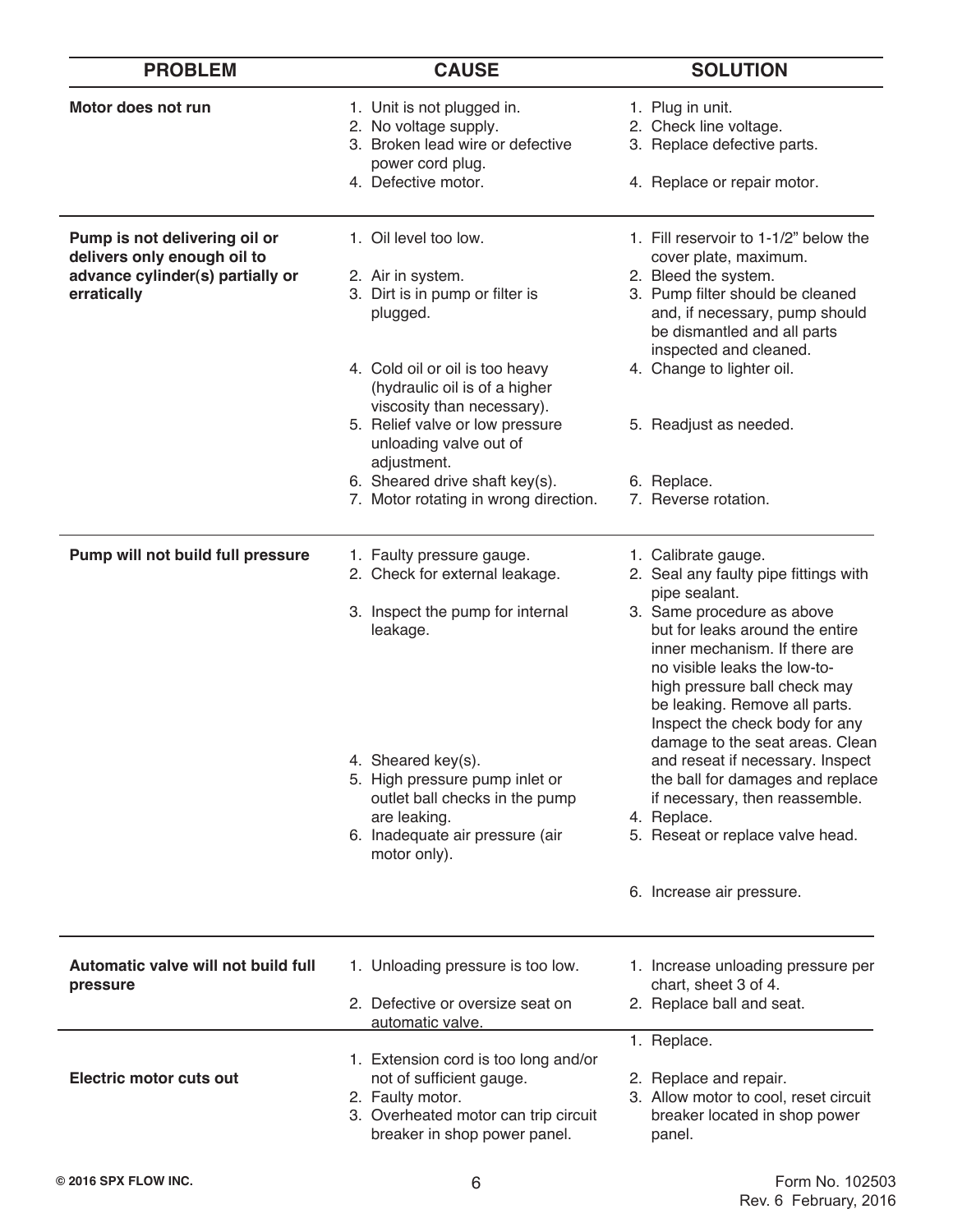| <b>PROBLEM</b>                                               | <b>CAUSE</b>                                                                                                         | <b>SOLUTION</b>                                                                                                                                                                                                                                                      |
|--------------------------------------------------------------|----------------------------------------------------------------------------------------------------------------------|----------------------------------------------------------------------------------------------------------------------------------------------------------------------------------------------------------------------------------------------------------------------|
| Motor does not run                                           | 1. Unit is not plugged in.<br>2. No voltage supply.<br>3. Broken lead wire or defective                              | 1. Plug in unit.<br>2. Check line voltage.<br>3. Replace defective parts.                                                                                                                                                                                            |
|                                                              | power cord plug.<br>4. Defective motor.                                                                              | 4. Replace or repair motor.                                                                                                                                                                                                                                          |
| Pump is not delivering oil or<br>delivers only enough oil to | 1. Oil level too low.                                                                                                | 1. Fill reservoir to 1-1/2" below the<br>cover plate, maximum.                                                                                                                                                                                                       |
| advance cylinder(s) partially or<br>erratically              | 2. Air in system.<br>3. Dirt is in pump or filter is<br>plugged.                                                     | 2. Bleed the system.<br>3. Pump filter should be cleaned<br>and, if necessary, pump should<br>be dismantled and all parts<br>inspected and cleaned.                                                                                                                  |
|                                                              | 4. Cold oil or oil is too heavy<br>(hydraulic oil is of a higher<br>viscosity than necessary).                       | 4. Change to lighter oil.                                                                                                                                                                                                                                            |
|                                                              | 5. Relief valve or low pressure<br>unloading valve out of<br>adjustment.                                             | 5. Readjust as needed.                                                                                                                                                                                                                                               |
|                                                              | 6. Sheared drive shaft key(s).<br>7. Motor rotating in wrong direction.                                              | 6. Replace.<br>7. Reverse rotation.                                                                                                                                                                                                                                  |
| Pump will not build full pressure                            | 1. Faulty pressure gauge.<br>2. Check for external leakage.                                                          | 1. Calibrate gauge.<br>2. Seal any faulty pipe fittings with<br>pipe sealant.                                                                                                                                                                                        |
|                                                              | 3. Inspect the pump for internal<br>leakage.                                                                         | 3. Same procedure as above<br>but for leaks around the entire<br>inner mechanism. If there are<br>no visible leaks the low-to-<br>high pressure ball check may<br>be leaking. Remove all parts.<br>Inspect the check body for any<br>damage to the seat areas. Clean |
|                                                              | 4. Sheared key(s).<br>5. High pressure pump inlet or<br>outlet ball checks in the pump                               | and reseat if necessary. Inspect<br>the ball for damages and replace<br>if necessary, then reassemble.                                                                                                                                                               |
|                                                              | are leaking.<br>6. Inadequate air pressure (air<br>motor only).                                                      | 4. Replace.<br>5. Reseat or replace valve head.                                                                                                                                                                                                                      |
|                                                              |                                                                                                                      | 6. Increase air pressure.                                                                                                                                                                                                                                            |
| Automatic valve will not build full                          | 1. Unloading pressure is too low.                                                                                    | 1. Increase unloading pressure per                                                                                                                                                                                                                                   |
| pressure                                                     | 2. Defective or oversize seat on<br>automatic valve.                                                                 | chart, sheet 3 of 4.<br>2. Replace ball and seat.                                                                                                                                                                                                                    |
|                                                              | 1. Extension cord is too long and/or                                                                                 | 1. Replace.                                                                                                                                                                                                                                                          |
| <b>Electric motor cuts out</b>                               | not of sufficient gauge.<br>2. Faulty motor.<br>3. Overheated motor can trip circuit<br>breaker in shop power panel. | 2. Replace and repair.<br>3. Allow motor to cool, reset circuit<br>breaker located in shop power<br>panel.                                                                                                                                                           |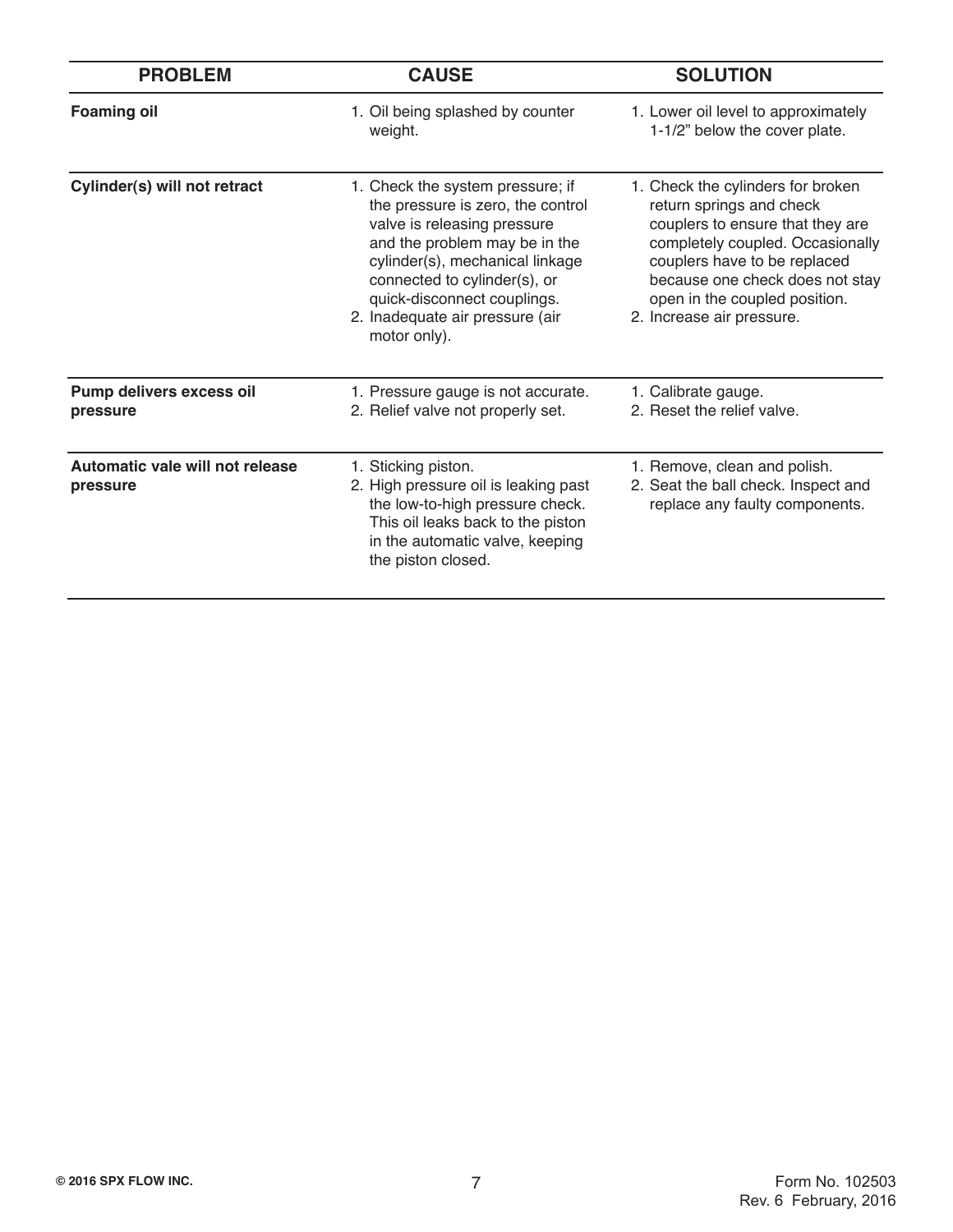| <b>PROBLEM</b>                              | <b>CAUSE</b>                                                                                                                                                                                                                                                                               | <b>SOLUTION</b>                                                                                                                                                                                                                                                        |
|---------------------------------------------|--------------------------------------------------------------------------------------------------------------------------------------------------------------------------------------------------------------------------------------------------------------------------------------------|------------------------------------------------------------------------------------------------------------------------------------------------------------------------------------------------------------------------------------------------------------------------|
| <b>Foaming oil</b>                          | 1. Oil being splashed by counter<br>weight.                                                                                                                                                                                                                                                | 1. Lower oil level to approximately<br>1-1/2" below the cover plate.                                                                                                                                                                                                   |
| Cylinder(s) will not retract                | 1. Check the system pressure; if<br>the pressure is zero, the control<br>valve is releasing pressure<br>and the problem may be in the<br>cylinder(s), mechanical linkage<br>connected to cylinder(s), or<br>quick-disconnect couplings.<br>2. Inadequate air pressure (air<br>motor only). | 1. Check the cylinders for broken<br>return springs and check<br>couplers to ensure that they are<br>completely coupled. Occasionally<br>couplers have to be replaced<br>because one check does not stay<br>open in the coupled position.<br>2. Increase air pressure. |
| Pump delivers excess oil<br>pressure        | 1. Pressure gauge is not accurate.<br>2. Relief valve not properly set.                                                                                                                                                                                                                    | 1. Calibrate gauge.<br>2. Reset the relief valve.                                                                                                                                                                                                                      |
| Automatic vale will not release<br>pressure | 1. Sticking piston.<br>2. High pressure oil is leaking past<br>the low-to-high pressure check.<br>This oil leaks back to the piston<br>in the automatic valve, keeping<br>the piston closed.                                                                                               | 1. Remove, clean and polish.<br>2. Seat the ball check. Inspect and<br>replace any faulty components.                                                                                                                                                                  |